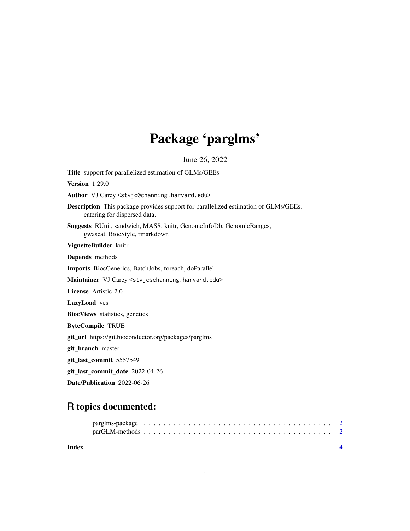## Package 'parglms'

June 26, 2022

<span id="page-0-0"></span>Title support for parallelized estimation of GLMs/GEEs Version 1.29.0 Author VJ Carey <stvjc@channing.harvard.edu> Description This package provides support for parallelized estimation of GLMs/GEEs, catering for dispersed data. Suggests RUnit, sandwich, MASS, knitr, GenomeInfoDb, GenomicRanges, gwascat, BiocStyle, rmarkdown VignetteBuilder knitr Depends methods Imports BiocGenerics, BatchJobs, foreach, doParallel Maintainer VJ Carey <stvjc@channing.harvard.edu> License Artistic-2.0 LazyLoad yes BiocViews statistics, genetics ByteCompile TRUE git\_url https://git.bioconductor.org/packages/parglms git\_branch master git\_last\_commit 5557b49 git\_last\_commit\_date 2022-04-26

Date/Publication 2022-06-26

### R topics documented:

| Index |  |  |  |  |  |  |  |  |  |  |  |  |  |  |  |  |  |
|-------|--|--|--|--|--|--|--|--|--|--|--|--|--|--|--|--|--|
|       |  |  |  |  |  |  |  |  |  |  |  |  |  |  |  |  |  |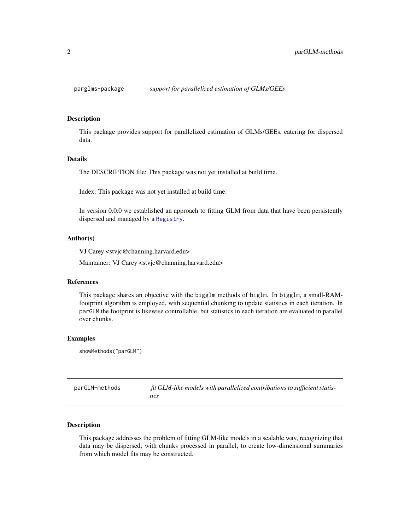<span id="page-1-0"></span>

#### Description

This package provides support for parallelized estimation of GLMs/GEEs, catering for dispersed data.

#### Details

The DESCRIPTION file: This package was not yet installed at build time.

Index: This package was not yet installed at build time.

In version 0.0.0 we established an approach to fitting GLM from data that have been persistently dispersed and managed by a [Registry](#page-0-0).

#### Author(s)

VJ Carey <stvjc@channing.harvard.edu>

Maintainer: VJ Carey <stvjc@channing.harvard.edu>

#### References

This package shares an objective with the bigglm methods of biglm. In bigglm, a small-RAMfootprint algorithm is employed, with sequential chunking to update statistics in each iteration. In parGLM the footprint is likewise controllable, but statistics in each iteration are evaluated in parallel over chunks.

#### Examples

showMethods("parGLM")

| parGLM-methods | fit GLM-like models with parallelized contributions to sufficient statis- |
|----------------|---------------------------------------------------------------------------|
|                | tics                                                                      |

#### Description

This package addresses the problem of fitting GLM-like models in a scalable way, recognizing that data may be dispersed, with chunks processed in parallel, to create low-dimensional summaries from which model fits may be constructed.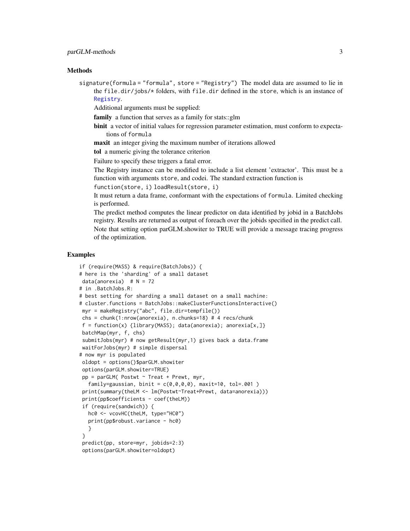#### <span id="page-2-0"></span>**Methods**

signature(formula = "formula", store = "Registry") The model data are assumed to lie in the file.dir/jobs/\* folders, with file.dir defined in the store, which is an instance of [Registry](#page-0-0).

Additional arguments must be supplied:

family a function that serves as a family for stats::glm

- binit a vector of initial values for regression parameter estimation, must conform to expectations of formula
- maxit an integer giving the maximum number of iterations allowed

tol a numeric giving the tolerance criterion

Failure to specify these triggers a fatal error.

The Registry instance can be modified to include a list element 'extractor'. This must be a function with arguments store, and codei. The standard extraction function is

```
function(store, i) loadResult(store, i)
```
It must return a data frame, conformant with the expectations of formula. Limited checking is performed.

The predict method computes the linear predictor on data identified by jobid in a BatchJobs registry. Results are returned as output of foreach over the jobids specified in the predict call. Note that setting option parGLM.showiter to TRUE will provide a message tracing progress of the optimization.

#### Examples

```
if (require(MASS) & require(BatchJobs)) {
# here is the 'sharding' of a small dataset
data(anorexia) # N = 72# in .BatchJobs.R:
# best setting for sharding a small dataset on a small machine:
# cluster.functions = BatchJobs::makeClusterFunctionsInteractive()
myr = makeRegistry("abc", file.dir=tempfile())
chs = chunk(1:nrow(anorexia), n.chunks=18) # 4 recs/chunk
 f = function(x) {library(MASS); data(anorexia); anorexia[x,]}
batchMap(myr, f, chs)
 submitJobs(myr) # now getResult(myr,1) gives back a data.frame
waitForJobs(myr) # simple dispersal
# now myr is populated
oldopt = options()$parGLM.showiter
 options(parGLM.showiter=TRUE)
 pp = parGLM( Postwt \sim Treat + Prewt, myr,
  family=gaussian, binit = c(0,0,0,0), maxit=10, tol=.001)
 print(summary(theLM <- lm(Postwt~Treat+Prewt, data=anorexia)))
 print(pp$coefficients - coef(theLM))
 if (require(sandwich)) {
  hc0 <- vcovHC(theLM, type="HC0")
  print(pp$robust.variance - hc0)
  }
 }
 predict(pp, store=myr, jobids=2:3)
 options(parGLM.showiter=oldopt)
```